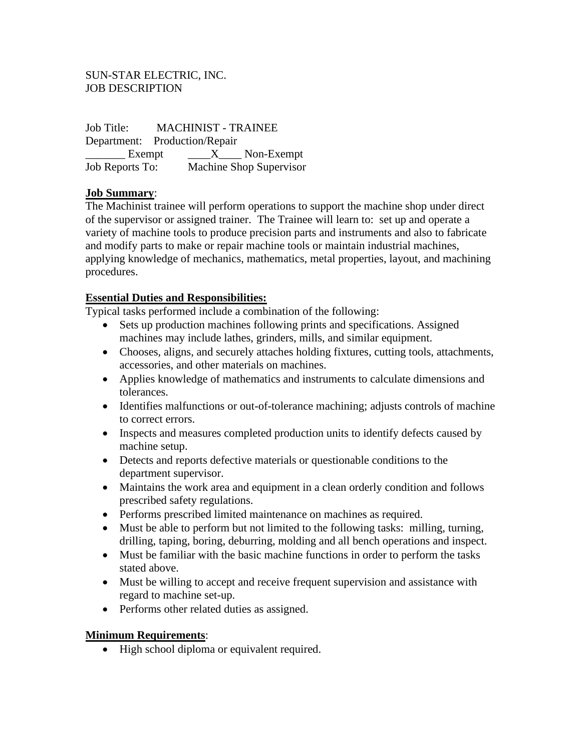#### SUN-STAR ELECTRIC, INC. JOB DESCRIPTION

Job Title: MACHINIST - TRAINEE Department: Production/Repair Exempt  $X$  Non-Exempt Job Reports To: Machine Shop Supervisor

#### **Job Summary**:

The Machinist trainee will perform operations to support the machine shop under direct of the supervisor or assigned trainer. The Trainee will learn to: set up and operate a variety of machine tools to produce precision parts and instruments and also to fabricate and modify parts to make or repair machine tools or maintain industrial machines, applying knowledge of mechanics, mathematics, metal properties, layout, and machining procedures.

#### **Essential Duties and Responsibilities:**

Typical tasks performed include a combination of the following:

- Sets up production machines following prints and specifications. Assigned machines may include lathes, grinders, mills, and similar equipment.
- Chooses, aligns, and securely attaches holding fixtures, cutting tools, attachments, accessories, and other materials on machines.
- Applies knowledge of mathematics and instruments to calculate dimensions and tolerances.
- Identifies malfunctions or out-of-tolerance machining; adjusts controls of machine to correct errors.
- Inspects and measures completed production units to identify defects caused by machine setup.
- Detects and reports defective materials or questionable conditions to the department supervisor.
- Maintains the work area and equipment in a clean orderly condition and follows prescribed safety regulations.
- Performs prescribed limited maintenance on machines as required.
- Must be able to perform but not limited to the following tasks: milling, turning, drilling, taping, boring, deburring, molding and all bench operations and inspect.
- Must be familiar with the basic machine functions in order to perform the tasks stated above.
- Must be willing to accept and receive frequent supervision and assistance with regard to machine set-up.
- Performs other related duties as assigned.

#### **Minimum Requirements**:

• High school diploma or equivalent required.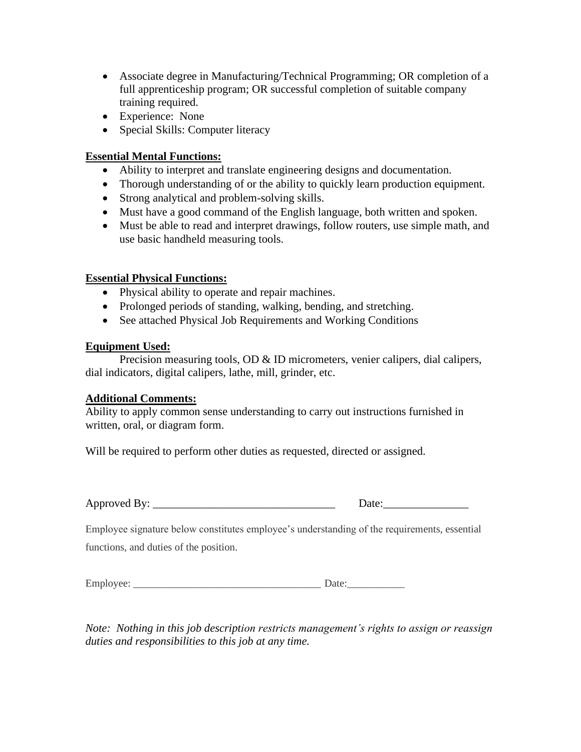- Associate degree in Manufacturing/Technical Programming; OR completion of a full apprenticeship program; OR successful completion of suitable company training required.
- Experience: None
- Special Skills: Computer literacy

### **Essential Mental Functions:**

- Ability to interpret and translate engineering designs and documentation.
- Thorough understanding of or the ability to quickly learn production equipment.
- Strong analytical and problem-solving skills.
- Must have a good command of the English language, both written and spoken.
- Must be able to read and interpret drawings, follow routers, use simple math, and use basic handheld measuring tools.

# **Essential Physical Functions:**

- Physical ability to operate and repair machines.
- Prolonged periods of standing, walking, bending, and stretching.
- See attached Physical Job Requirements and Working Conditions

#### **Equipment Used:**

Precision measuring tools, OD & ID micrometers, venier calipers, dial calipers, dial indicators, digital calipers, lathe, mill, grinder, etc.

#### **Additional Comments:**

Ability to apply common sense understanding to carry out instructions furnished in written, oral, or diagram form.

Will be required to perform other duties as requested, directed or assigned.

| Approved By: |  |
|--------------|--|
|              |  |

| Approved<br>"Rv | Jate |
|-----------------|------|
|                 |      |

Employee signature below constitutes employee's understanding of the requirements, essential functions, and duties of the position.

| Employee: |  |
|-----------|--|
|-----------|--|

*Note: Nothing in this job description restricts management's rights to assign or reassign duties and responsibilities to this job at any time.*